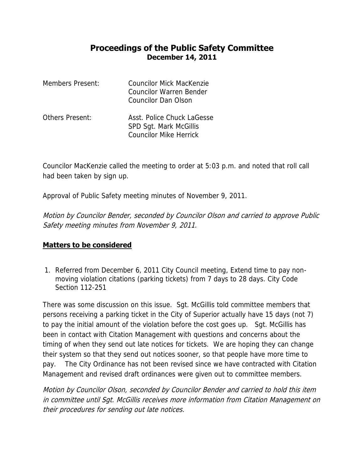## **Proceedings of the Public Safety Committee December 14, 2011**

| Members Present: | Councilor Mick MacKenzie<br>Councilor Warren Bender<br>Councilor Dan Olson     |
|------------------|--------------------------------------------------------------------------------|
| Others Present:  | Asst. Police Chuck LaGesse<br>SPD Sgt. Mark McGillis<br>Councilor Mike Herrick |

Councilor MacKenzie called the meeting to order at 5:03 p.m. and noted that roll call had been taken by sign up.

Approval of Public Safety meeting minutes of November 9, 2011.

Motion by Councilor Bender, seconded by Councilor Olson and carried to approve Public Safety meeting minutes from November 9, 2011.

## **Matters to be considered**

1. Referred from December 6, 2011 City Council meeting, Extend time to pay nonmoving violation citations (parking tickets) from 7 days to 28 days. City Code Section 112-251

There was some discussion on this issue. Sgt. McGillis told committee members that persons receiving a parking ticket in the City of Superior actually have 15 days (not 7) to pay the initial amount of the violation before the cost goes up. Sgt. McGillis has been in contact with Citation Management with questions and concerns about the timing of when they send out late notices for tickets. We are hoping they can change their system so that they send out notices sooner, so that people have more time to pay. The City Ordinance has not been revised since we have contracted with Citation Management and revised draft ordinances were given out to committee members.

Motion by Councilor Olson, seconded by Councilor Bender and carried to hold this item in committee until Sgt. McGillis receives more information from Citation Management on their procedures for sending out late notices.